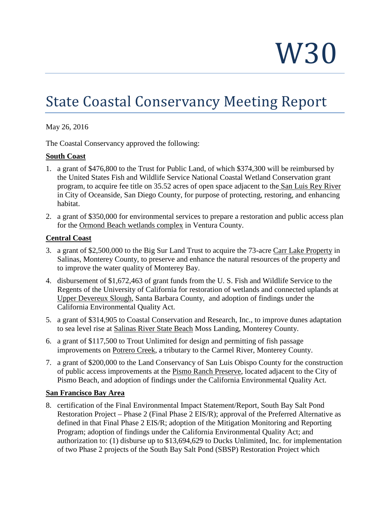W30

# State Coastal Conservancy Meeting Report

## May 26, 2016

The Coastal Conservancy approved the following:

## **South Coast**

- 1. a grant of \$476,800 to the Trust for Public Land, of which \$374,300 will be reimbursed by the United States Fish and Wildlife Service National Coastal Wetland Conservation grant program, to acquire fee title on 35.52 acres of open space adjacent to the San Luis Rey River in City of Oceanside, San Diego County, for purpose of protecting, restoring, and enhancing habitat.
- 2. a grant of \$350,000 for environmental services to prepare a restoration and public access plan for the Ormond Beach wetlands complex in Ventura County.

## **Central Coast**

- 3. a grant of \$2,500,000 to the Big Sur Land Trust to acquire the 73-acre Carr Lake Property in Salinas, Monterey County, to preserve and enhance the natural resources of the property and to improve the water quality of Monterey Bay.
- 4. disbursement of \$1,672,463 of grant funds from the U. S. Fish and Wildlife Service to the Regents of the University of California for restoration of wetlands and connected uplands at Upper Devereux Slough, Santa Barbara County, and adoption of findings under the California Environmental Quality Act.
- 5. a grant of \$314,905 to Coastal Conservation and Research, Inc., to improve dunes adaptation to sea level rise at Salinas River State Beach Moss Landing, Monterey County.
- 6. a grant of \$117,500 to Trout Unlimited for design and permitting of fish passage improvements on Potrero Creek, a tributary to the Carmel River, Monterey County.
- 7. a grant of \$200,000 to the Land Conservancy of San Luis Obispo County for the construction of public access improvements at the Pismo Ranch Preserve, located adjacent to the City of Pismo Beach, and adoption of findings under the California Environmental Quality Act.

## **San Francisco Bay Area**

8. certification of the Final Environmental Impact Statement/Report, South Bay Salt Pond Restoration Project – Phase 2 (Final Phase 2 EIS/R); approval of the Preferred Alternative as defined in that Final Phase 2 EIS/R; adoption of the Mitigation Monitoring and Reporting Program; adoption of findings under the California Environmental Quality Act; and authorization to: (1) disburse up to \$13,694,629 to Ducks Unlimited, Inc. for implementation of two Phase 2 projects of the South Bay Salt Pond (SBSP) Restoration Project which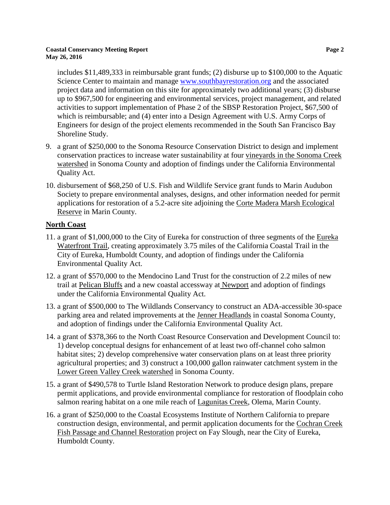#### **Coastal Conservancy Meeting Report Page 2 May 26, 2016**

includes \$11,489,333 in reimbursable grant funds; (2) disburse up to \$100,000 to the Aquatic Science Center to maintain and manage [www.southbayrestoration.org](http://www.southbayrestoration.org/) and the associated project data and information on this site for approximately two additional years; (3) disburse up to \$967,500 for engineering and environmental services, project management, and related activities to support implementation of Phase 2 of the SBSP Restoration Project, \$67,500 of which is reimbursable; and (4) enter into a Design Agreement with U.S. Army Corps of Engineers for design of the project elements recommended in the South San Francisco Bay Shoreline Study.

- 9. a grant of \$250,000 to the Sonoma Resource Conservation District to design and implement conservation practices to increase water sustainability at four vineyards in the Sonoma Creek watershed in Sonoma County and adoption of findings under the California Environmental Quality Act.
- 10. disbursement of \$68,250 of U.S. Fish and Wildlife Service grant funds to Marin Audubon Society to prepare environmental analyses, designs, and other information needed for permit applications for restoration of a 5.2-acre site adjoining the Corte Madera Marsh Ecological Reserve in Marin County.

## **North Coast**

- 11. a grant of \$1,000,000 to the City of Eureka for construction of three segments of the Eureka Waterfront Trail, creating approximately 3.75 miles of the California Coastal Trail in the City of Eureka, Humboldt County, and adoption of findings under the California Environmental Quality Act.
- 12. a grant of \$570,000 to the Mendocino Land Trust for the construction of 2.2 miles of new trail at Pelican Bluffs and a new coastal accessway at Newport and adoption of findings under the California Environmental Quality Act.
- 13. a grant of \$500,000 to The Wildlands Conservancy to construct an ADA-accessible 30-space parking area and related improvements at the Jenner Headlands in coastal Sonoma County, and adoption of findings under the California Environmental Quality Act.
- 14. a grant of \$378,366 to the North Coast Resource Conservation and Development Council to: 1) develop conceptual designs for enhancement of at least two off-channel coho salmon habitat sites; 2) develop comprehensive water conservation plans on at least three priority agricultural properties; and 3) construct a 100,000 gallon rainwater catchment system in the Lower Green Valley Creek watershed in Sonoma County.
- 15. a grant of \$490,578 to Turtle Island Restoration Network to produce design plans, prepare permit applications, and provide environmental compliance for restoration of floodplain coho salmon rearing habitat on a one mile reach of Lagunitas Creek, Olema, Marin County.
- 16. a grant of \$250,000 to the Coastal Ecosystems Institute of Northern California to prepare construction design, environmental, and permit application documents for the Cochran Creek Fish Passage and Channel Restoration project on Fay Slough, near the City of Eureka, Humboldt County.